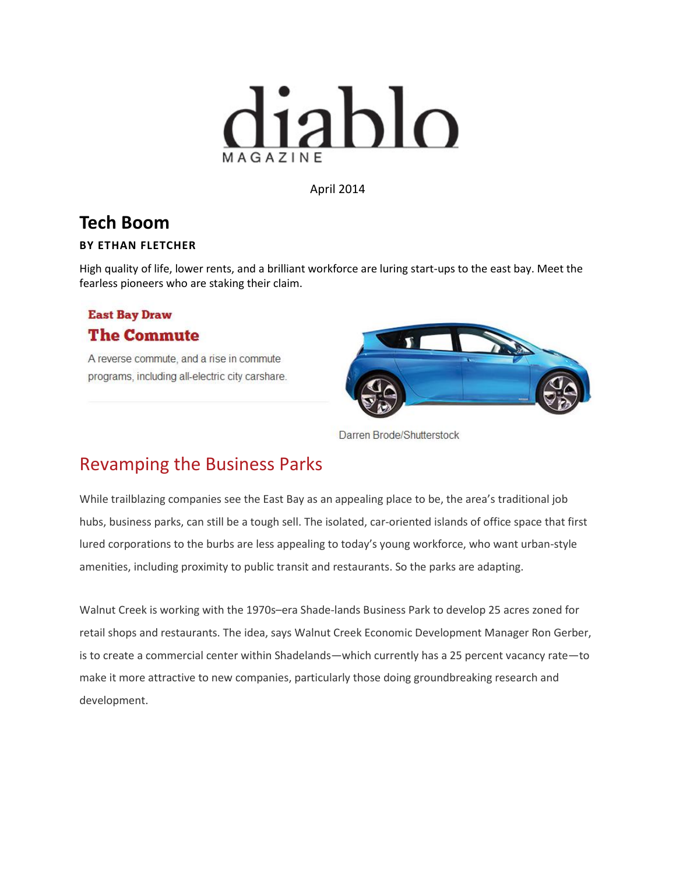

April 2014

## **Tech Boom**

## **BY ETHAN FLETCHER**

High quality of life, lower rents, and a brilliant workforce are luring start-ups to the east bay. Meet the fearless pioneers who are staking their claim.

## **East Bay Draw The Commute**

A reverse commute, and a rise in commute programs, including all-electric city carshare.



Darren Brode/Shutterstock

## Revamping the Business Parks

While trailblazing companies see the East Bay as an appealing place to be, the area's traditional job hubs, business parks, can still be a tough sell. The isolated, car-oriented islands of office space that first lured corporations to the burbs are less appealing to today's young workforce, who want urban-style amenities, including proximity to public transit and restaurants. So the parks are adapting.

Walnut Creek is working with the 1970s–era Shade-lands Business Park to develop 25 acres zoned for retail shops and restaurants. The idea, says Walnut Creek Economic Development Manager Ron Gerber, is to create a commercial center within Shadelands—which currently has a 25 percent vacancy rate—to make it more attractive to new companies, particularly those doing groundbreaking research and development.